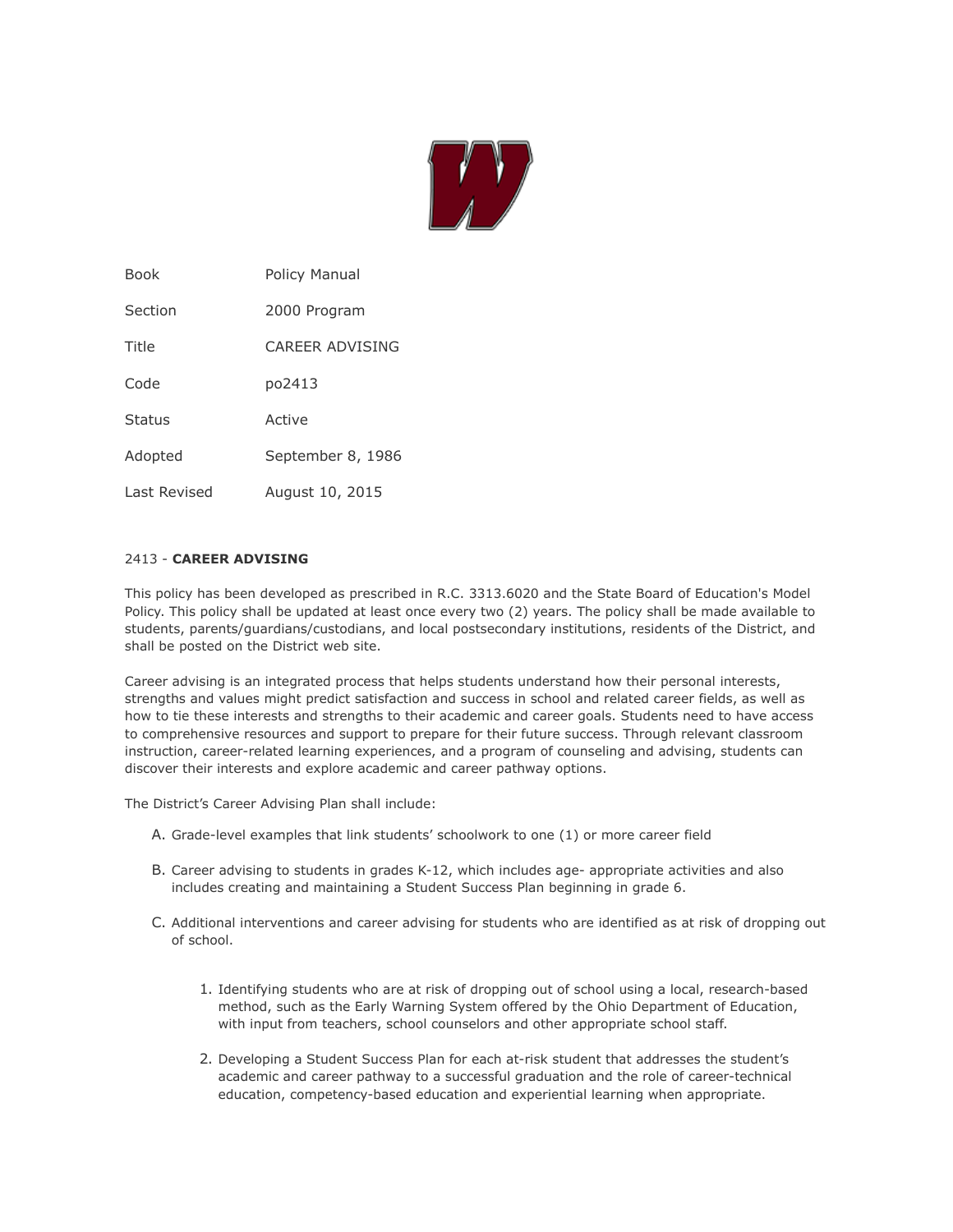

| Book         | Policy Manual     |
|--------------|-------------------|
| Section      | 2000 Program      |
| Title        | CARFFR ADVISING   |
| Code         | po2413            |
| Status       | Active            |
| Adopted      | September 8, 1986 |
| Last Revised | August 10, 2015   |

## 2413 - **CAREER ADVISING**

This policy has been developed as prescribed in R.C. 3313.6020 and the State Board of Education's Model Policy. This policy shall be updated at least once every two (2) years. The policy shall be made available to students, parents/guardians/custodians, and local postsecondary institutions, residents of the District, and shall be posted on the District web site.

Career advising is an integrated process that helps students understand how their personal interests, strengths and values might predict satisfaction and success in school and related career fields, as well as how to tie these interests and strengths to their academic and career goals. Students need to have access to comprehensive resources and support to prepare for their future success. Through relevant classroom instruction, career-related learning experiences, and a program of counseling and advising, students can discover their interests and explore academic and career pathway options.

The District's Career Advising Plan shall include:

- A. Grade-level examples that link students' schoolwork to one (1) or more career field
- B. Career advising to students in grades K-12, which includes age- appropriate activities and also includes creating and maintaining a Student Success Plan beginning in grade 6.
- C. Additional interventions and career advising for students who are identified as at risk of dropping out of school.
	- 1. Identifying students who are at risk of dropping out of school using a local, research-based method, such as the Early Warning System offered by the Ohio Department of Education, with input from teachers, school counselors and other appropriate school staff.
	- 2. Developing a Student Success Plan for each at-risk student that addresses the student's academic and career pathway to a successful graduation and the role of career-technical education, competency-based education and experiential learning when appropriate.